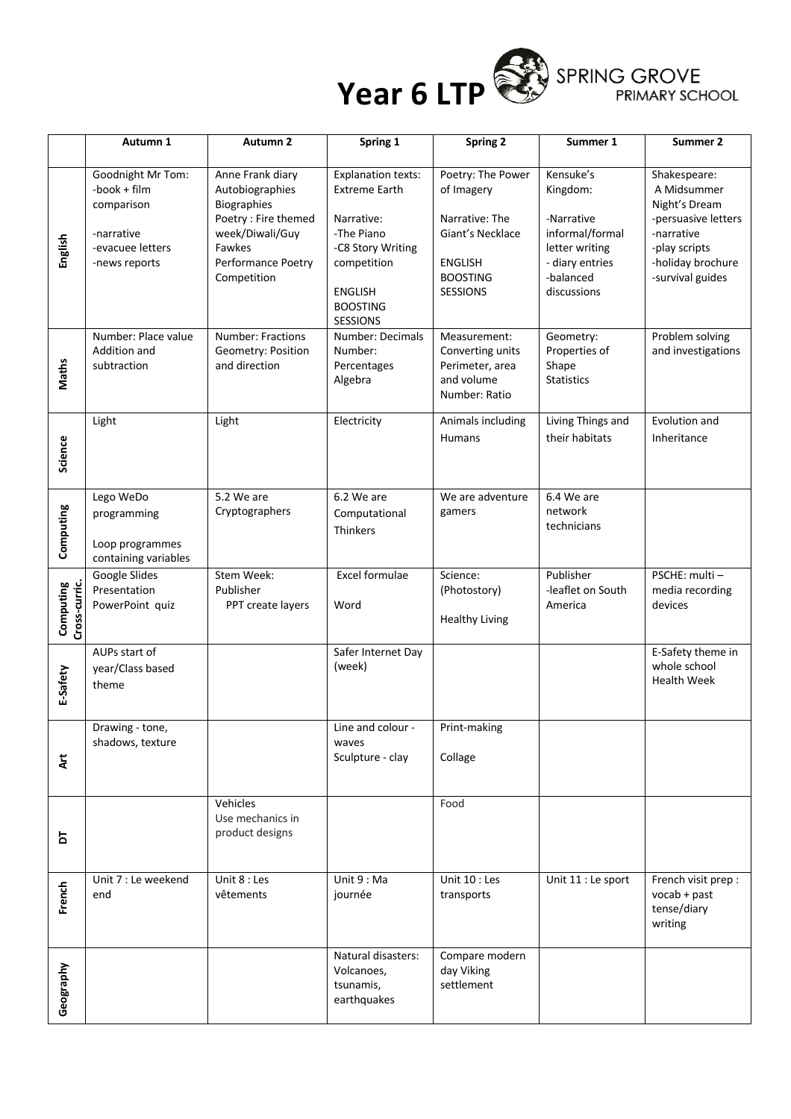

|                            | Autumn 1                                                                                           | Autumn <sub>2</sub>                                                                                                                          | Spring 1                                                                                                                                                                  | Spring 2                                                                                                                      | Summer 1                                                                                                                | Summer 2                                                                                                                                    |
|----------------------------|----------------------------------------------------------------------------------------------------|----------------------------------------------------------------------------------------------------------------------------------------------|---------------------------------------------------------------------------------------------------------------------------------------------------------------------------|-------------------------------------------------------------------------------------------------------------------------------|-------------------------------------------------------------------------------------------------------------------------|---------------------------------------------------------------------------------------------------------------------------------------------|
| English                    | Goodnight Mr Tom:<br>-book + film<br>comparison<br>-narrative<br>-evacuee letters<br>-news reports | Anne Frank diary<br>Autobiographies<br>Biographies<br>Poetry : Fire themed<br>week/Diwali/Guy<br>Fawkes<br>Performance Poetry<br>Competition | <b>Explanation texts:</b><br><b>Extreme Earth</b><br>Narrative:<br>-The Piano<br>-C8 Story Writing<br>competition<br><b>ENGLISH</b><br><b>BOOSTING</b><br><b>SESSIONS</b> | Poetry: The Power<br>of Imagery<br>Narrative: The<br>Giant's Necklace<br><b>ENGLISH</b><br><b>BOOSTING</b><br><b>SESSIONS</b> | Kensuke's<br>Kingdom:<br>-Narrative<br>informal/formal<br>letter writing<br>- diary entries<br>-balanced<br>discussions | Shakespeare:<br>A Midsummer<br>Night's Dream<br>-persuasive letters<br>-narrative<br>-play scripts<br>-holiday brochure<br>-survival guides |
| <b>Maths</b>               | Number: Place value<br>Addition and<br>subtraction                                                 | <b>Number: Fractions</b><br>Geometry: Position<br>and direction                                                                              | Number: Decimals<br>Number:<br>Percentages<br>Algebra                                                                                                                     | Measurement:<br>Converting units<br>Perimeter, area<br>and volume<br>Number: Ratio                                            | Geometry:<br>Properties of<br>Shape<br><b>Statistics</b>                                                                | Problem solving<br>and investigations                                                                                                       |
| Science                    | Light                                                                                              | Light                                                                                                                                        | Electricity                                                                                                                                                               | Animals including<br><b>Humans</b>                                                                                            | Living Things and<br>their habitats                                                                                     | Evolution and<br>Inheritance                                                                                                                |
| Computing                  | Lego WeDo<br>programming<br>Loop programmes<br>containing variables                                | 5.2 We are<br>Cryptographers                                                                                                                 | 6.2 We are<br>Computational<br>Thinkers                                                                                                                                   | We are adventure<br>gamers                                                                                                    | 6.4 We are<br>network<br>technicians                                                                                    |                                                                                                                                             |
| Computing<br>Cross-curric. | Google Slides<br>Presentation<br>PowerPoint quiz                                                   | Stem Week:<br>Publisher<br>PPT create layers                                                                                                 | Excel formulae<br>Word                                                                                                                                                    | Science:<br>(Photostory)<br><b>Healthy Living</b>                                                                             | Publisher<br>-leaflet on South<br>America                                                                               | PSCHE: multi -<br>media recording<br>devices                                                                                                |
| E-Safety                   | AUPs start of<br>year/Class based<br>theme                                                         |                                                                                                                                              | Safer Internet Day<br>(week)                                                                                                                                              |                                                                                                                               |                                                                                                                         | E-Safety theme in<br>whole school<br><b>Health Week</b>                                                                                     |
| ξ                          | Drawing - tone,<br>shadows, texture                                                                |                                                                                                                                              | Line and colour -<br>waves<br>Sculpture - clay                                                                                                                            | Print-making<br>Collage                                                                                                       |                                                                                                                         |                                                                                                                                             |
| 5                          |                                                                                                    | Vehicles<br>Use mechanics in<br>product designs                                                                                              |                                                                                                                                                                           | Food                                                                                                                          |                                                                                                                         |                                                                                                                                             |
| French                     | Unit 7 : Le weekend<br>end                                                                         | Unit 8 : Les<br>vêtements                                                                                                                    | Unit 9: Ma<br>journée                                                                                                                                                     | Unit 10 : Les<br>transports                                                                                                   | Unit 11 : Le sport                                                                                                      | French visit prep :<br>$vocab + past$<br>tense/diary<br>writing                                                                             |
| Geography                  |                                                                                                    |                                                                                                                                              | Natural disasters:<br>Volcanoes,<br>tsunamis,<br>earthquakes                                                                                                              | Compare modern<br>day Viking<br>settlement                                                                                    |                                                                                                                         |                                                                                                                                             |